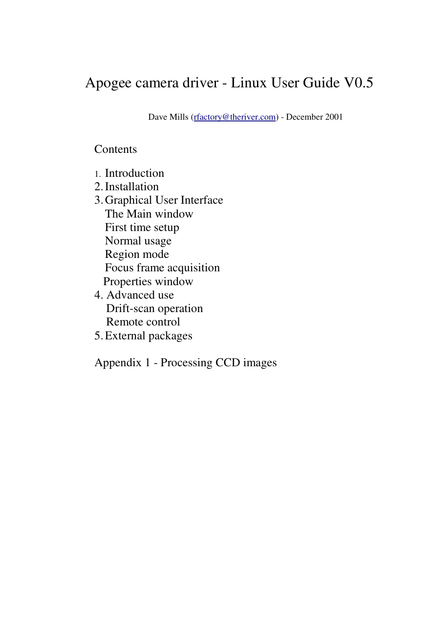# Apogee camera driver - Linux User Guide V0.5

Dave Mills (rfactory@theriver.com) - December 2001

# **Contents**

- 1. Introduction
- 2.Installation
- 3.Graphical User Interface The Main window First time setup Normal usage Region mode Focus frame acquisition Properties window
- 4. Advanced use Drift-scan operation Remote control
- 5.External packages

Appendix 1 - Processing CCD images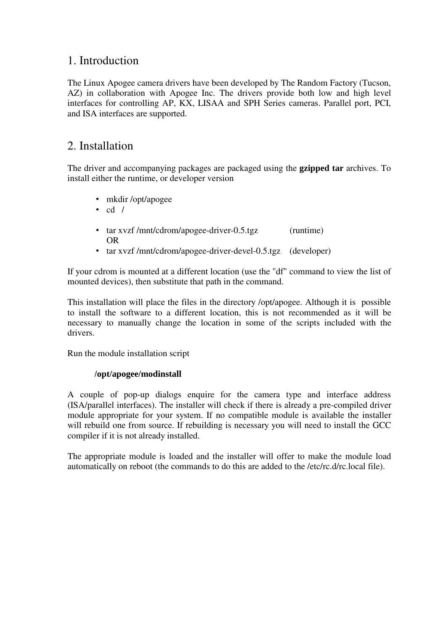# 1. Introduction

The Linux Apogee camera drivers have been developed by The Random Factory (Tucson, AZ) in collaboration with Apogee Inc. The drivers provide both low and high level interfaces for controlling AP, KX, LISAA and SPH Series cameras. Parallel port, PCI, and ISA interfaces are supported.

# 2. Installation

The driver and accompanying packages are packaged using the **gzipped tar** archives. To install either the runtime, or developer version

- mkdir /opt/apogee
- $\cdot$  cd /
- tar xvzf /mnt/cdrom/apogee-driver-0.5.tgz (runtime) OR
- tar xvzf /mnt/cdrom/apogee-driver-devel-0.5.tgz (developer)

If your cdrom is mounted at a different location (use the "df" command to view the list of mounted devices), then substitute that path in the command.

This installation will place the files in the directory /opt/apogee. Although it is possible to install the software to a different location, this is not recommended as it will be necessary to manually change the location in some of the scripts included with the drivers.

Run the module installation script

### **/opt/apogee/modinstall**

A couple of pop-up dialogs enquire for the camera type and interface address (ISA/parallel interfaces). The installer will check if there is already a pre-compiled driver module appropriate for your system. If no compatible module is available the installer will rebuild one from source. If rebuilding is necessary you will need to install the GCC compiler if it is not already installed.

The appropriate module is loaded and the installer will offer to make the module load automatically on reboot (the commands to do this are added to the /etc/rc.d/rc.local file).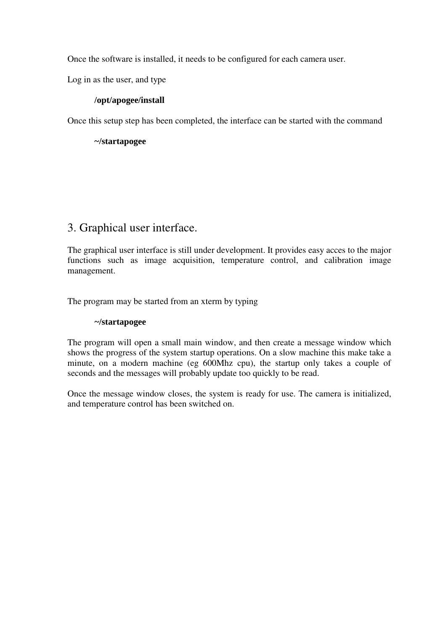Once the software is installed, it needs to be configured for each camera user.

Log in as the user, and type

### **/opt/apogee/install**

Once this setup step has been completed, the interface can be started with the command

**~/startapogee**

### 3. Graphical user interface.

The graphical user interface is still under development. It provides easy acces to the major functions such as image acquisition, temperature control, and calibration image management.

The program may be started from an xterm by typing

### **~/startapogee**

The program will open a small main window, and then create a message window which shows the progress of the system startup operations. On a slow machine this make take a minute, on a modern machine (eg 600Mhz cpu), the startup only takes a couple of seconds and the messages will probably update too quickly to be read.

Once the message window closes, the system is ready for use. The camera is initialized, and temperature control has been switched on.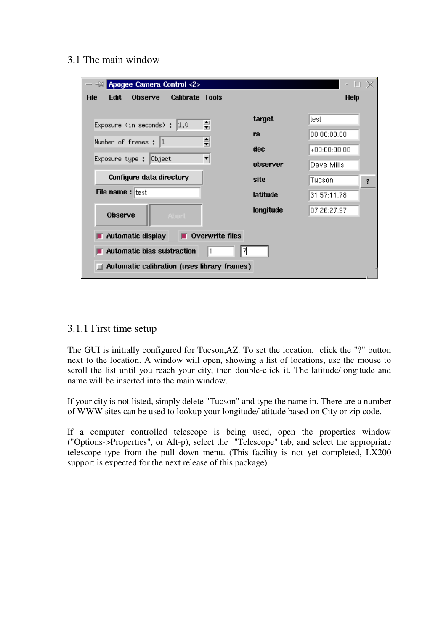3.1 The main window

| Apogee Camera Control <2><br>$  \boxtimes$                             |           |                |   |
|------------------------------------------------------------------------|-----------|----------------|---|
| <b>Edit</b><br><b>Calibrate Tools</b><br><b>File</b><br><b>Observe</b> |           | <b>Help</b>    |   |
| ≑<br>Exposure (in seconds) :<br> 1.0                                   | target    | ltest          |   |
|                                                                        | ra        | 00:00:00.00    |   |
| ≑<br>Number of frames : 1                                              | dec.      | $+00:00:00.00$ |   |
| ▼<br>Exposure type :<br> Object                                        | observer  | Dave Mills     |   |
| Configure data directory                                               | site      | Tucson         | 2 |
| File name: test                                                        | latitude  | 31:57:11.78    |   |
| Observe<br><b>Abort</b>                                                | longitude | 07:26:27.97    |   |
| $\blacksquare$ Overwrite files<br>Automatic display                    |           |                |   |
|                                                                        |           |                |   |
| Automatic bias subtraction<br>1<br>71                                  |           |                |   |
| <b>Automatic calibration (uses library frames)</b>                     |           |                |   |

### 3.1.1 First time setup

The GUI is initially configured for Tucson,AZ. To set the location, click the "?" button next to the location. A window will open, showing a list of locations, use the mouse to scroll the list until you reach your city, then double-click it. The latitude/longitude and name will be inserted into the main window.

If your city is not listed, simply delete "Tucson" and type the name in. There are a number of WWW sites can be used to lookup your longitude/latitude based on City or zip code.

If a computer controlled telescope is being used, open the properties window ("Options->Properties", or Alt-p), select the "Telescope" tab, and select the appropriate telescope type from the pull down menu. (This facility is not yet completed, LX200 support is expected for the next release of this package).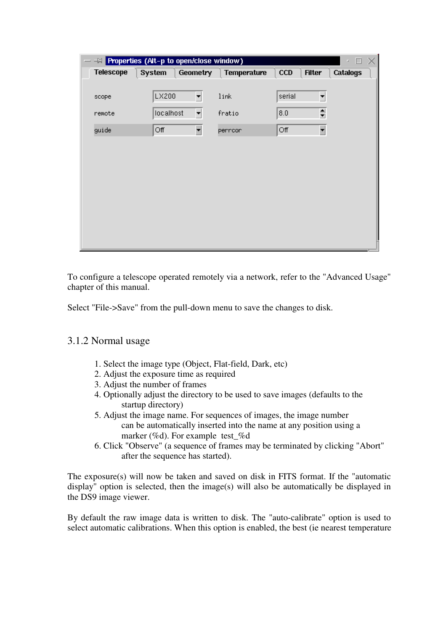| $\overline{\phantom{0}}$ |           | $-\blacksquare$ Properties (Alt-p to open/close window) |             |            |                      | П<br>z          | X |
|--------------------------|-----------|---------------------------------------------------------|-------------|------------|----------------------|-----------------|---|
| <b>Telescope</b>         | System    | <b>Geometry</b>                                         | Temperature | <b>CCD</b> | <b>Filter</b>        | <b>Catalogs</b> |   |
|                          |           |                                                         |             |            |                      |                 |   |
| scope                    | LX200     | $\left  \bullet \right $                                | link        | serial     | $\blacktriangledown$ |                 |   |
| remote                   | localhost | $\blacktriangledown$                                    | fratio      | 8.0        | $\Rightarrow$        |                 |   |
| guide                    | Off       | $\blacksquare$                                          | perroor     | Off        | $\blacksquare$       |                 |   |
|                          |           |                                                         |             |            |                      |                 |   |
|                          |           |                                                         |             |            |                      |                 |   |
|                          |           |                                                         |             |            |                      |                 |   |
|                          |           |                                                         |             |            |                      |                 |   |
|                          |           |                                                         |             |            |                      |                 |   |
|                          |           |                                                         |             |            |                      |                 |   |
|                          |           |                                                         |             |            |                      |                 |   |
|                          |           |                                                         |             |            |                      |                 |   |
|                          |           |                                                         |             |            |                      |                 |   |

To configure a telescope operated remotely via a network, refer to the "Advanced Usage" chapter of this manual.

Select "File->Save" from the pull-down menu to save the changes to disk.

### 3.1.2 Normal usage

- 1. Select the image type (Object, Flat-field, Dark, etc)
- 2. Adjust the exposure time as required
- 3. Adjust the number of frames
- 4. Optionally adjust the directory to be used to save images (defaults to the startup directory)
- 5. Adjust the image name. For sequences of images, the image number can be automatically inserted into the name at any position using a marker (%d). For example test\_%d
- 6. Click "Observe" (a sequence of frames may be terminated by clicking "Abort" after the sequence has started).

The exposure(s) will now be taken and saved on disk in FITS format. If the "automatic display" option is selected, then the image(s) will also be automatically be displayed in the DS9 image viewer.

By default the raw image data is written to disk. The "auto-calibrate" option is used to select automatic calibrations. When this option is enabled, the best (ie nearest temperature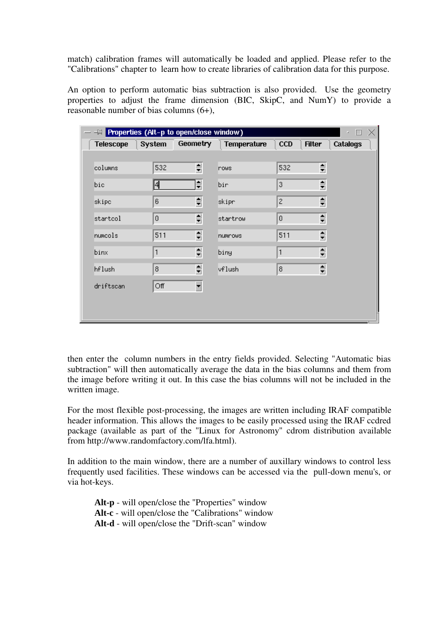match) calibration frames will automatically be loaded and applied. Please refer to the "Calibrations" chapter to learn how to create libraries of calibration data for this purpose.

An option to perform automatic bias subtraction is also provided. Use the geometry properties to adjust the frame dimension (BIC, SkipC, and NumY) to provide a reasonable number of bias columns (6+),

| $\equiv$ Properties (Alt-p to open/close window)<br>$\overline{\phantom{0}}$ |                |                          |                    |                | П<br>×.                                     |
|------------------------------------------------------------------------------|----------------|--------------------------|--------------------|----------------|---------------------------------------------|
| <b>Telescope</b>                                                             | <b>System</b>  | Geometry                 | <b>Temperature</b> | <b>CCD</b>     | <b>Filter</b><br><b>Catalogs</b>            |
|                                                                              |                |                          |                    |                |                                             |
| columns                                                                      | 532            | ≑                        | nows               | 532            | ≑                                           |
| bic                                                                          | 4              | ≑                        | bir                | 3              | $\Rightarrow$                               |
| skipc                                                                        | 6              | 칅                        | skipr              | $\mathbf{Z}$   | ≑                                           |
| startcol                                                                     | $\overline{0}$ | ≑                        | startrow           | $\overline{0}$ | $\Rightarrow$                               |
| numcols                                                                      | 511            | ≑                        | numrows            | 511            | $\Rightarrow$                               |
| binx                                                                         | 1              | ≑                        | biny               | 1              | ≑                                           |
| hflush                                                                       | 8              | ≑                        | vflush             | 8              | $\frac{\blacktriangle}{\blacktriangledown}$ |
| driftscan                                                                    | Off            | $\overline{\phantom{a}}$ |                    |                |                                             |
|                                                                              |                |                          |                    |                |                                             |
|                                                                              |                |                          |                    |                |                                             |

then enter the column numbers in the entry fields provided. Selecting "Automatic bias subtraction" will then automatically average the data in the bias columns and them from the image before writing it out. In this case the bias columns will not be included in the written image.

For the most flexible post-processing, the images are written including IRAF compatible header information. This allows the images to be easily processed using the IRAF ccdred package (available as part of the "Linux for Astronomy" cdrom distribution available from http://www.randomfactory.com/lfa.html).

In addition to the main window, there are a number of auxillary windows to control less frequently used facilities. These windows can be accessed via the pull-down menu's, or via hot-keys.

**Alt-p** - will open/close the "Properties" window **Alt-c** - will open/close the "Calibrations" window **Alt-d** - will open/close the "Drift-scan" window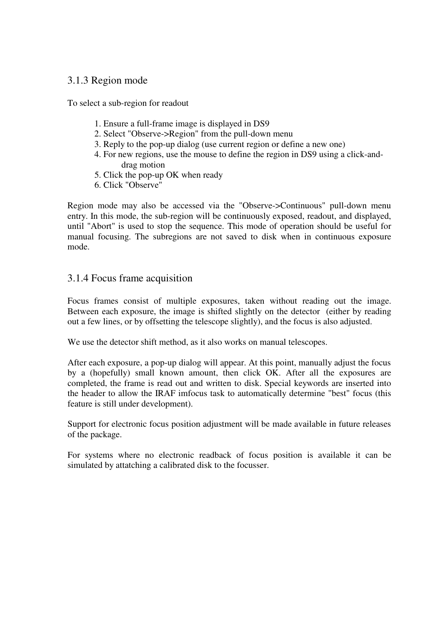### 3.1.3 Region mode

To select a sub-region for readout

- 1. Ensure a full-frame image is displayed in DS9
- 2. Select "Observe->Region" from the pull-down menu
- 3. Reply to the pop-up dialog (use current region or define a new one)
- 4. For new regions, use the mouse to define the region in DS9 using a click-anddrag motion
- 5. Click the pop-up OK when ready
- 6. Click "Observe"

Region mode may also be accessed via the "Observe->Continuous" pull-down menu entry. In this mode, the sub-region will be continuously exposed, readout, and displayed, until "Abort" is used to stop the sequence. This mode of operation should be useful for manual focusing. The subregions are not saved to disk when in continuous exposure mode.

### 3.1.4 Focus frame acquisition

Focus frames consist of multiple exposures, taken without reading out the image. Between each exposure, the image is shifted slightly on the detector (either by reading out a few lines, or by offsetting the telescope slightly), and the focus is also adjusted.

We use the detector shift method, as it also works on manual telescopes.

After each exposure, a pop-up dialog will appear. At this point, manually adjust the focus by a (hopefully) small known amount, then click OK. After all the exposures are completed, the frame is read out and written to disk. Special keywords are inserted into the header to allow the IRAF imfocus task to automatically determine "best" focus (this feature is still under development).

Support for electronic focus position adjustment will be made available in future releases of the package.

For systems where no electronic readback of focus position is available it can be simulated by attatching a calibrated disk to the focusser.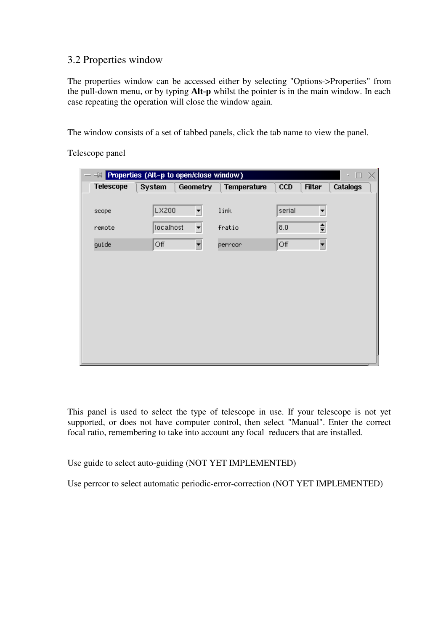### 3.2 Properties window

The properties window can be accessed either by selecting "Options->Properties" from the pull-down menu, or by typing **Alt-p** whilst the pointer is in the main window. In each case repeating the operation will close the window again.

The window consists of a set of tabbed panels, click the tab name to view the panel.

Telescope panel

|                  | - <sup>10</sup> Properties (Alt-p to open/close window) |                          |             |        | $\Box$<br>z.                     | × |
|------------------|---------------------------------------------------------|--------------------------|-------------|--------|----------------------------------|---|
| <b>Telescope</b> | System                                                  | <b>Geometry</b>          | Temperature | CCD    | <b>Catalogs</b><br><b>Filter</b> |   |
|                  |                                                         |                          |             |        |                                  |   |
| scope            | LX200                                                   | ▾                        | link        | serial | $\blacktriangledown$             |   |
| remote           | localhost                                               | $\blacktriangledown$     | fratio      | 8.0    | ≑                                |   |
| guide            | Off                                                     | $\overline{\phantom{a}}$ | perroor     | Off    | $\overline{\phantom{a}}$         |   |
|                  |                                                         |                          |             |        |                                  |   |
|                  |                                                         |                          |             |        |                                  |   |
|                  |                                                         |                          |             |        |                                  |   |
|                  |                                                         |                          |             |        |                                  |   |
|                  |                                                         |                          |             |        |                                  |   |
|                  |                                                         |                          |             |        |                                  |   |
|                  |                                                         |                          |             |        |                                  |   |
|                  |                                                         |                          |             |        |                                  |   |

This panel is used to select the type of telescope in use. If your telescope is not yet supported, or does not have computer control, then select "Manual". Enter the correct focal ratio, remembering to take into account any focal reducers that are installed.

Use guide to select auto-guiding (NOT YET IMPLEMENTED)

Use perrcor to select automatic periodic-error-correction (NOT YET IMPLEMENTED)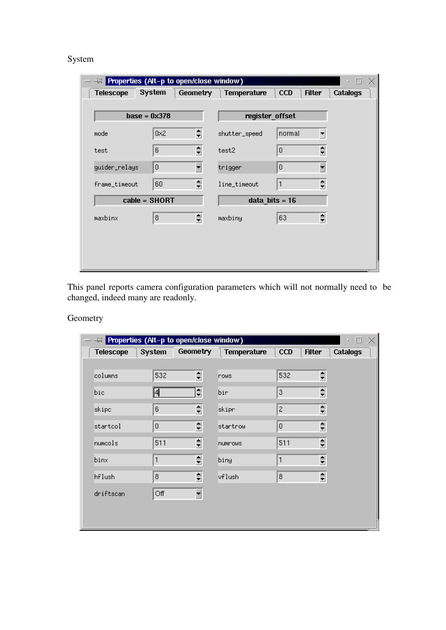### System

| $-\blacksquare$ Properties (Alt-p to open/close window) |                |                 |                    |                             | П<br>z          |
|---------------------------------------------------------|----------------|-----------------|--------------------|-----------------------------|-----------------|
| <b>Telescope</b>                                        | System         | <b>Geometry</b> | <b>Temperature</b> | <b>CCD</b><br><b>Filter</b> | <b>Catalogs</b> |
| $base = 0x378$                                          |                |                 |                    | register_offset             |                 |
| mode                                                    | 0 <sub>2</sub> | ≑               | shutter_speed      | normal                      | ▾               |
| test                                                    | 6              | ≑               | test2              | 0                           | ≑               |
| guider_relays                                           | $\overline{0}$ | ▼               | trigger            | 0                           | ۳               |
| frame_timeout                                           | 60             | ≑               | line_timeout       | 1                           | ≑               |
|                                                         | cable = SHORT  |                 |                    | $data_bits = 16$            |                 |
| maxbinx                                                 | 8              | ≑               | maxbiny            | 63                          | ≑               |
|                                                         |                |                 |                    |                             |                 |
|                                                         |                |                 |                    |                             |                 |
|                                                         |                |                 |                    |                             |                 |

This panel reports camera configuration parameters which will not normally need to be changed, indeed many are readonly.

### Geometry

| $ -\infty$ Properties (Alt-p to open/close window) |                         |                          |             |                  | ×.                                     | П |
|----------------------------------------------------|-------------------------|--------------------------|-------------|------------------|----------------------------------------|---|
| <b>Telescope</b>                                   | System                  | Geometry                 | Temperature | <b>CCD</b>       | <b>Filter</b><br><b>Catalogs</b>       |   |
|                                                    |                         |                          |             |                  |                                        |   |
| columns                                            | 532                     | ≑                        | nows        | 532              | ≑                                      |   |
| bic                                                | 4                       | ≑                        | bir         | 3                | ≑                                      |   |
| skipc                                              | 6                       | $\Rightarrow$            | skipr       | $\overline{c}$   | ≑                                      |   |
| startcol                                           | $\overline{0}$          | ≑                        | startrow    | $\overline{0}$   | $\div$                                 |   |
| numcols                                            | 511                     | ≑                        | numrows.    | 511              | $\frac{\triangle}{\blacktriangledown}$ |   |
| binx                                               | 1                       | ≑                        | biny        | 1                | ≑                                      |   |
| hflush                                             | $\overline{\mathbf{8}}$ | $\Rightarrow$            | vflush      | $\boldsymbol{8}$ | ≑                                      |   |
| driftscan                                          | Off                     | $\overline{\phantom{a}}$ |             |                  |                                        |   |
|                                                    |                         |                          |             |                  |                                        |   |
|                                                    |                         |                          |             |                  |                                        |   |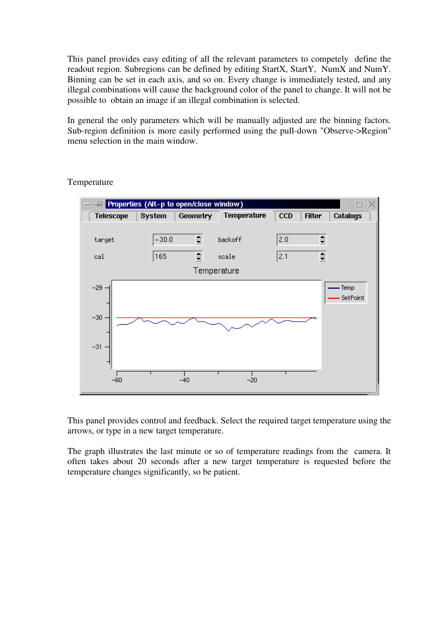This panel provides easy editing of all the relevant parameters to competely define the readout region. Subregions can be defined by editing StartX, StartY, NumX and NumY. Binning can be set in each axis, and so on. Every change is immediately tested, and any illegal combinations will cause the background color of the panel to change. It will not be possible to obtain an image if an illegal combination is selected.

In general the only parameters which will be manually adjusted are the binning factors. Sub-region definition is more easily performed using the pull-down "Observe->Region" menu selection in the main window.



### Temperature

This panel provides control and feedback. Select the required target temperature using the arrows, or type in a new target temperature.

The graph illustrates the last minute or so of temperature readings from the camera. It often takes about 20 seconds after a new target temperature is requested before the temperature changes significantly, so be patient.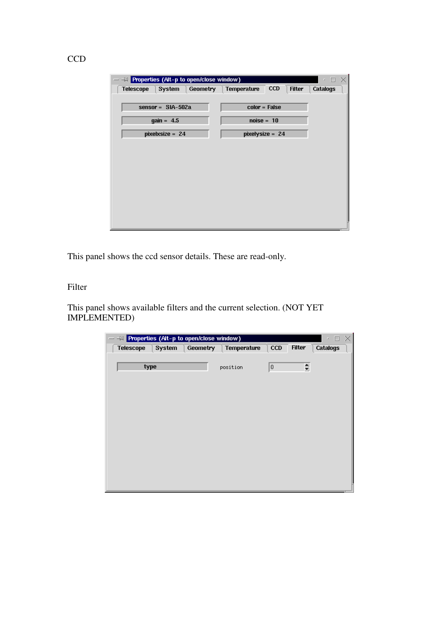| $ -\infty$ Properties (Alt-p to open/close window) |          |                    |            |               | п<br>×          | $\times$ |
|----------------------------------------------------|----------|--------------------|------------|---------------|-----------------|----------|
| <b>Telescope</b><br>System                         | Geometry | <b>Temperature</b> | <b>CCD</b> | <b>Filter</b> | <b>Catalogs</b> |          |
|                                                    |          |                    |            |               |                 |          |
| sensor = $SIA-502a$                                |          | $color = False$    |            |               |                 |          |
| $gain = 4.5$                                       |          | $noise = 10$       |            |               |                 |          |
| pixelxsize = $24$                                  |          | pixelysize = 24    |            |               |                 |          |
|                                                    |          |                    |            |               |                 |          |
|                                                    |          |                    |            |               |                 |          |
|                                                    |          |                    |            |               |                 |          |
|                                                    |          |                    |            |               |                 |          |
|                                                    |          |                    |            |               |                 |          |
|                                                    |          |                    |            |               |                 |          |
|                                                    |          |                    |            |               |                 |          |
|                                                    |          |                    |            |               |                 |          |
|                                                    |          |                    |            |               |                 |          |

This panel shows the ccd sensor details. These are read-only.

### Filter

This panel shows available filters and the current selection. (NOT YET IMPLEMENTED)

| - <sup>[4]</sup> Properties (Alt-p to open/close window)<br>- |                 |             |     |               | ×<br>$\Box$<br>z |
|---------------------------------------------------------------|-----------------|-------------|-----|---------------|------------------|
| <b>Telescope</b><br>System                                    | <b>Geometry</b> | Temperature | CCD | <b>Filter</b> | Catalogs         |
|                                                               |                 |             |     |               |                  |
| type                                                          |                 | position    | 0   | $\Rightarrow$ |                  |
|                                                               |                 |             |     |               |                  |
|                                                               |                 |             |     |               |                  |
|                                                               |                 |             |     |               |                  |
|                                                               |                 |             |     |               |                  |
|                                                               |                 |             |     |               |                  |
|                                                               |                 |             |     |               |                  |
|                                                               |                 |             |     |               |                  |
|                                                               |                 |             |     |               |                  |
|                                                               |                 |             |     |               |                  |
|                                                               |                 |             |     |               |                  |
|                                                               |                 |             |     |               |                  |
|                                                               |                 |             |     |               |                  |
|                                                               |                 |             |     |               |                  |

### **CCD**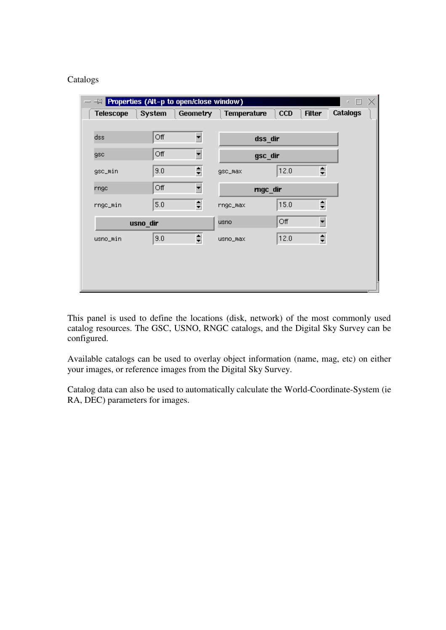### Catalogs

|                  |          | <b>EM</b> Properties (Alt-p to open/close window) |             |      |                          | $\times$<br>$\Box$<br>z. |
|------------------|----------|---------------------------------------------------|-------------|------|--------------------------|--------------------------|
| <b>Telescope</b> | System   | <b>Geometry</b>                                   | Temperature | CCD  | <b>Filter</b>            | Catalogs                 |
|                  |          |                                                   |             |      |                          |                          |
| dss              | Off      | $\blacktriangledown$                              | dss_dir     |      |                          |                          |
| gsc              | Off      | ▾                                                 | gsc_dir     |      |                          |                          |
| gsc_min          | 9.0      | ≑                                                 | gsc_max     | 12.0 | €                        |                          |
| rngc             | Off      | ▾                                                 | mgc_dir     |      |                          |                          |
| rngc_min         | 5.0      | $\frac{\triangle}{T}$                             | rngc_max    | 15.0 | $\Rightarrow$            |                          |
|                  | usno_dir |                                                   | <b>usno</b> | Off  | $\overline{\phantom{0}}$ |                          |
| usno_min         | 9.0      | ≑                                                 | usno_max    | 12.0 | ≑                        |                          |
|                  |          |                                                   |             |      |                          |                          |
|                  |          |                                                   |             |      |                          |                          |
|                  |          |                                                   |             |      |                          |                          |
|                  |          |                                                   |             |      |                          |                          |

This panel is used to define the locations (disk, network) of the most commonly used catalog resources. The GSC, USNO, RNGC catalogs, and the Digital Sky Survey can be configured.

Available catalogs can be used to overlay object information (name, mag, etc) on either your images, or reference images from the Digital Sky Survey.

Catalog data can also be used to automatically calculate the World-Coordinate-System (ie RA, DEC) parameters for images.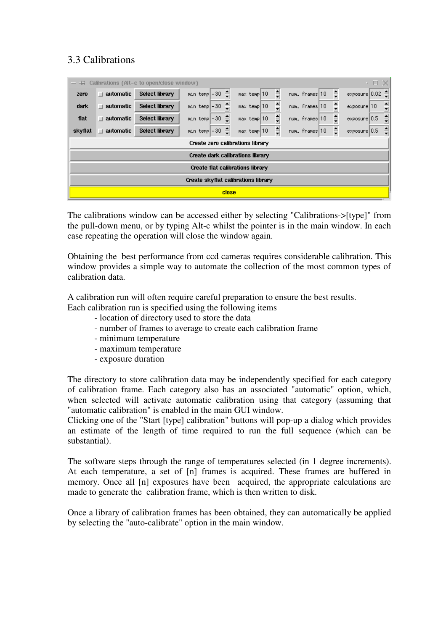# 3.3 Calibrations

|                                     |                   | $ -\mu$ Calibrations (Alt-c to open/close window) |                                  |                                           |                                        | o<br>۰.                                  |  |  |  |  |
|-------------------------------------|-------------------|---------------------------------------------------|----------------------------------|-------------------------------------------|----------------------------------------|------------------------------------------|--|--|--|--|
| zero                                | $\Box$ automatic  | <b>Select library</b>                             | min temp $-30$ $\triangleq$      | ≑<br>$max$ temp $ 10 $                    | ≑<br>num. frames 10                    | ٦Ê,<br>exposure 0.02                     |  |  |  |  |
| dark                                | $\perp$ automatic | Select library                                    | ≜<br>$min$ temp $-30$            | $\frac{1}{\sqrt{2}}$<br>$max$ temp $ 10 $ | $\frac{1}{\sqrt{2}}$<br>num. frames 10 | $\frac{1}{\overline{2}}$<br>exposure 10  |  |  |  |  |
| flat                                | $\Box$ automatic  | Select library                                    | min temp $-30$ $\triangleq$      | $\frac{1}{\sqrt{2}}$<br>$max$ temp 10     | $\frac{1}{\sqrt{2}}$<br>num. frames 10 | $\frac{1}{\tau}$<br>exposure 0.5         |  |  |  |  |
| skyflat                             | $\perp$ automatic | Select library                                    | ₿<br>$min$ temp $ -30$           | $\frac{1}{\overline{1}}$<br>$max$ temp 10 | $\frac{1}{2}$<br>num. frames 10        | $\frac{1}{\overline{1}}$<br>exposure 0.5 |  |  |  |  |
|                                     |                   |                                                   | Create zero calibrations library |                                           |                                        |                                          |  |  |  |  |
|                                     |                   |                                                   | Create dark calibrations library |                                           |                                        |                                          |  |  |  |  |
| Create flat calibrations library    |                   |                                                   |                                  |                                           |                                        |                                          |  |  |  |  |
| Create skyflat calibrations library |                   |                                                   |                                  |                                           |                                        |                                          |  |  |  |  |
|                                     |                   |                                                   |                                  | close                                     |                                        |                                          |  |  |  |  |

The calibrations window can be accessed either by selecting "Calibrations->[type]" from the pull-down menu, or by typing Alt-c whilst the pointer is in the main window. In each case repeating the operation will close the window again.

Obtaining the best performance from ccd cameras requires considerable calibration. This window provides a simple way to automate the collection of the most common types of calibration data.

A calibration run will often require careful preparation to ensure the best results.

Each calibration run is specified using the following items

- location of directory used to store the data
- number of frames to average to create each calibration frame
- minimum temperature
- maximum temperature
- exposure duration

The directory to store calibration data may be independently specified for each category of calibration frame. Each category also has an associated "automatic" option, which, when selected will activate automatic calibration using that category (assuming that "automatic calibration" is enabled in the main GUI window.

Clicking one of the "Start [type] calibration" buttons will pop-up a dialog which provides an estimate of the length of time required to run the full sequence (which can be substantial).

The software steps through the range of temperatures selected (in 1 degree increments). At each temperature, a set of [n] frames is acquired. These frames are buffered in memory. Once all [n] exposures have been acquired, the appropriate calculations are made to generate the calibration frame, which is then written to disk.

Once a library of calibration frames has been obtained, they can automatically be applied by selecting the "auto-calibrate" option in the main window.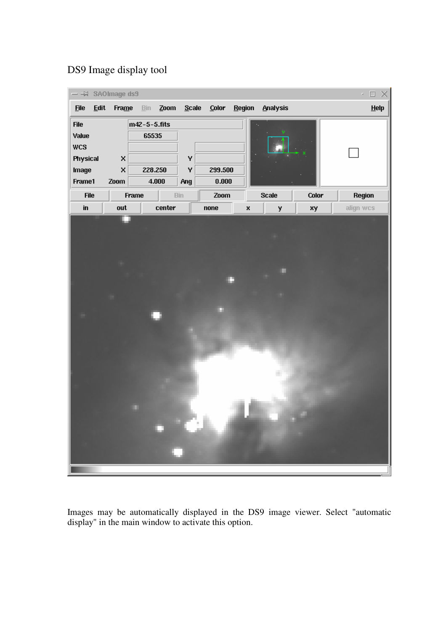### DS9 Image display tool



Images may be automatically displayed in the DS9 image viewer. Select "automatic display" in the main window to activate this option.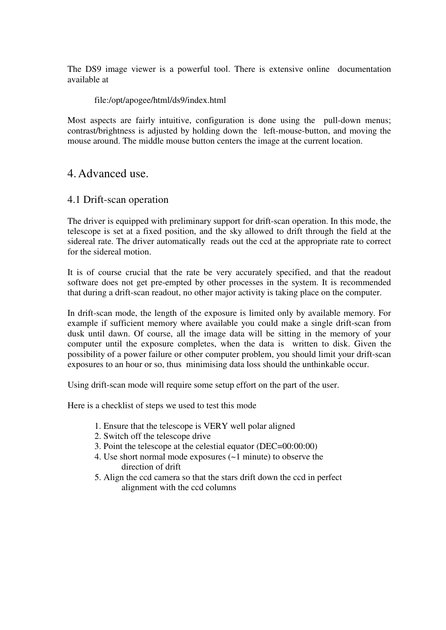The DS9 image viewer is a powerful tool. There is extensive online documentation available at

### file:/opt/apogee/html/ds9/index.html

Most aspects are fairly intuitive, configuration is done using the pull-down menus; contrast/brightness is adjusted by holding down the left-mouse-button, and moving the mouse around. The middle mouse button centers the image at the current location.

### 4.Advanced use.

### 4.1 Drift-scan operation

The driver is equipped with preliminary support for drift-scan operation. In this mode, the telescope is set at a fixed position, and the sky allowed to drift through the field at the sidereal rate. The driver automatically reads out the ccd at the appropriate rate to correct for the sidereal motion.

It is of course crucial that the rate be very accurately specified, and that the readout software does not get pre-empted by other processes in the system. It is recommended that during a drift-scan readout, no other major activity is taking place on the computer.

In drift-scan mode, the length of the exposure is limited only by available memory. For example if sufficient memory where available you could make a single drift-scan from dusk until dawn. Of course, all the image data will be sitting in the memory of your computer until the exposure completes, when the data is written to disk. Given the possibility of a power failure or other computer problem, you should limit your drift-scan exposures to an hour or so, thus minimising data loss should the unthinkable occur.

Using drift-scan mode will require some setup effort on the part of the user.

Here is a checklist of steps we used to test this mode

- 1. Ensure that the telescope is VERY well polar aligned
- 2. Switch off the telescope drive
- 3. Point the telescope at the celestial equator (DEC=00:00:00)
- 4. Use short normal mode exposures (~1 minute) to observe the direction of drift
- 5. Align the ccd camera so that the stars drift down the ccd in perfect alignment with the ccd columns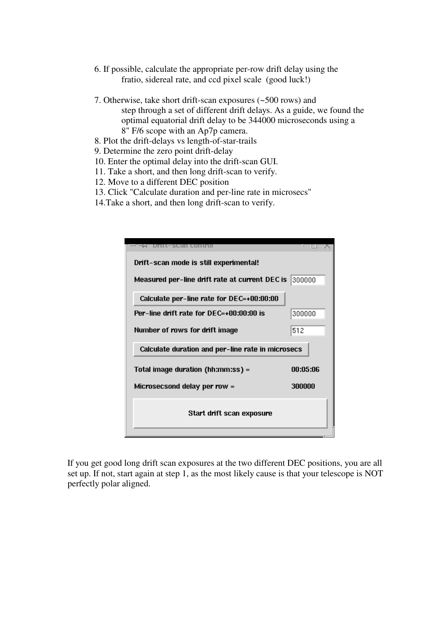- 6. If possible, calculate the appropriate per-row drift delay using the fratio, sidereal rate, and ccd pixel scale (good luck!)
- 7. Otherwise, take short drift-scan exposures (~500 rows) and step through a set of different drift delays. As a guide, we found the optimal equatorial drift delay to be 344000 microseconds using a 8" F/6 scope with an Ap7p camera.
- 8. Plot the drift-delays vs length-of-star-trails
- 9. Determine the zero point drift-delay
- 10. Enter the optimal delay into the drift-scan GUI.
- 11. Take a short, and then long drift-scan to verify.
- 12. Move to a different DEC position
- 13. Click "Calculate duration and per-line rate in microsecs"
- 14.Take a short, and then long drift-scan to verify.

| ·SCarl Comuni                                     |          |
|---------------------------------------------------|----------|
| Drift-scan mode is still experimental!            |          |
| Measured per-line drift rate at current DEC is    | 300000   |
| Calculate per-line rate for DEC=+00:00:00         |          |
| $Per$ -line drift rate for $DEC = +00:00:00$ is   | 300000   |
| Number of rows for drift image                    | 512      |
| Calculate duration and per-line rate in microsecs |          |
| Total image duration (hh:mm:ss) =                 | NO:N5:N6 |
| Microsecsond delay per row =                      | 300000   |
| Start drift scan exposure                         |          |

If you get good long drift scan exposures at the two different DEC positions, you are all set up. If not, start again at step 1, as the most likely cause is that your telescope is NOT perfectly polar aligned.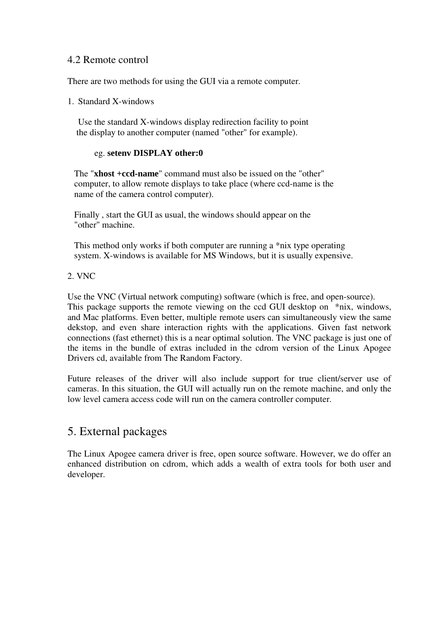### 4.2 Remote control

There are two methods for using the GUI via a remote computer.

1. Standard X-windows

Use the standard X-windows display redirection facility to point the display to another computer (named "other" for example).

### eg. **setenv DISPLAY other:0**

The "**xhost +ccd-name**" command must also be issued on the "other" computer, to allow remote displays to take place (where ccd-name is the name of the camera control computer).

Finally , start the GUI as usual, the windows should appear on the "other" machine.

This method only works if both computer are running a \*nix type operating system. X-windows is available for MS Windows, but it is usually expensive.

### 2. VNC

Use the VNC (Virtual network computing) software (which is free, and open-source). This package supports the remote viewing on the ccd GUI desktop on  $*$ nix, windows, and Mac platforms. Even better, multiple remote users can simultaneously view the same dekstop, and even share interaction rights with the applications. Given fast network connections (fast ethernet) this is a near optimal solution. The VNC package is just one of the items in the bundle of extras included in the cdrom version of the Linux Apogee Drivers cd, available from The Random Factory.

Future releases of the driver will also include support for true client/server use of cameras. In this situation, the GUI will actually run on the remote machine, and only the low level camera access code will run on the camera controller computer.

# 5. External packages

The Linux Apogee camera driver is free, open source software. However, we do offer an enhanced distribution on cdrom, which adds a wealth of extra tools for both user and developer.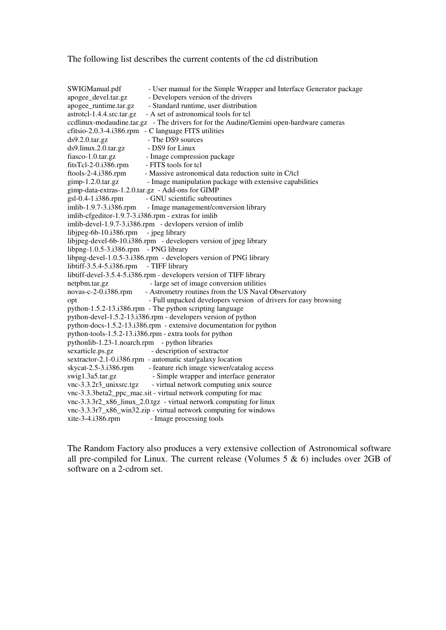The following list describes the current contents of the cd distribution

SWIGManual.pdf - User manual for the Simple Wrapper and Interface Generator package apogee\_devel.tar.gz - Developers version of the drivers apogee\_runtime.tar.gz - Standard runtime, user distribution astrotcl-1.4.4.src.tar.gz - A set of astronomical tools for tcl ccdlinux-modaudine.tar.gz - The drivers for for the Audine/Gemini open-hardware cameras cfitsio-2.0.3-4.i386.rpm - C language FITS utilities ds9.2.0.tar.gz - The DS9 sources ds9.linux.2.0.tar.gz - DS9 for Linux fiasco-1.0.tar.gz - Image compression package fitsTcl-2-0.i386.rpm - FITS tools for tcl ftools-2-4.i386.rpm - Massive astronomical data reduction suite in C/tcl  $gimp-1.2.0. \text{tar.gz}$  - Image manipulation package with extensive capabilities gimp-data-extras-1.2.0.tar.gz - Add-ons for GIMP gsl-0.4-1.i386.rpm - GNU scientific subroutines imlib-1.9.7-3.i386.rpm - Image management/conversion library imlib-cfgeditor-1.9.7-3.i386.rpm - extras for imlib imlib-devel-1.9.7-3.i386.rpm - devlopers version of imlib libjpeg-6b-10.i386.rpm - jpeg library libjpeg-devel-6b-10.i386.rpm - developers version of jpeg library libpng-1.0.5-3.i386.rpm - PNG library libpng-devel-1.0.5-3.i386.rpm - developers version of PNG library libtiff-3.5.4-5.i386.rpm - TIFF library libtiff-devel-3.5.4-5.i386.rpm - developers version of TIFF library netpbm.tar.gz - large set of image conversion utilities novas-c-2-0.i386.rpm - Astrometry routines from the US Naval Observatory opt  $-$  Full unpacked developers version of drivers for easy browsing python-1.5.2-13.i386.rpm - The python scripting language python-devel-1.5.2-13.i386.rpm - developers version of python python-docs-1.5.2-13.i386.rpm - extensive documentation for python python-tools-1.5.2-13.i386.rpm - extra tools for python pythonlib-1.23-1.noarch.rpm - python libraries sexarticle.ps.gz - description of sextractor sextractor-2.1-0.i386.rpm - automatic star/galaxy location skycat-2.5-3.i386.rpm - feature rich image viewer/catalog access swig1.3a5.tar.gz - Simple wrapper and interface generator vnc-3.3.2r3\_unixsrc.tgz - virtual network computing unix source vnc-3.3.3beta2\_ppc\_mac.sit - virtual network computing for mac vnc-3.3.3r2\_x86\_linux\_2.0.tgz - virtual network computing for linux vnc-3.3.3r7\_x86\_win32.zip - virtual network computing for windows xite-3-4.i386.rpm - Image processing tools

The Random Factory also produces a very extensive collection of Astronomical software all pre-compiled for Linux. The current release (Volumes 5 & 6) includes over 2GB of software on a 2-cdrom set.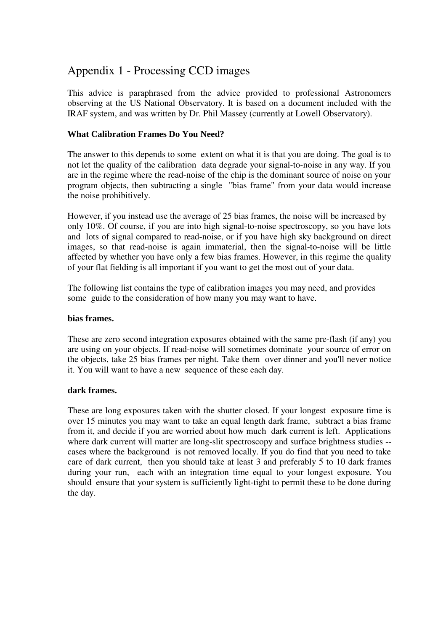# Appendix 1 - Processing CCD images

This advice is paraphrased from the advice provided to professional Astronomers observing at the US National Observatory. It is based on a document included with the IRAF system, and was written by Dr. Phil Massey (currently at Lowell Observatory).

### **What Calibration Frames Do You Need?**

The answer to this depends to some extent on what it is that you are doing. The goal is to not let the quality of the calibration data degrade your signal-to-noise in any way. If you are in the regime where the read-noise of the chip is the dominant source of noise on your program objects, then subtracting a single "bias frame" from your data would increase the noise prohibitively.

However, if you instead use the average of 25 bias frames, the noise will be increased by only 10%. Of course, if you are into high signal-to-noise spectroscopy, so you have lots and lots of signal compared to read-noise, or if you have high sky background on direct images, so that read-noise is again immaterial, then the signal-to-noise will be little affected by whether you have only a few bias frames. However, in this regime the quality of your flat fielding is all important if you want to get the most out of your data.

The following list contains the type of calibration images you may need, and provides some guide to the consideration of how many you may want to have.

#### **bias frames.**

These are zero second integration exposures obtained with the same pre-flash (if any) you are using on your objects. If read-noise will sometimes dominate your source of error on the objects, take 25 bias frames per night. Take them over dinner and you'll never notice it. You will want to have a new sequence of these each day.

### **dark frames.**

These are long exposures taken with the shutter closed. If your longest exposure time is over 15 minutes you may want to take an equal length dark frame, subtract a bias frame from it, and decide if you are worried about how much dark current is left. Applications where dark current will matter are long-slit spectroscopy and surface brightness studies -cases where the background is not removed locally. If you do find that you need to take care of dark current, then you should take at least 3 and preferably 5 to 10 dark frames during your run, each with an integration time equal to your longest exposure. You should ensure that your system is sufficiently light-tight to permit these to be done during the day.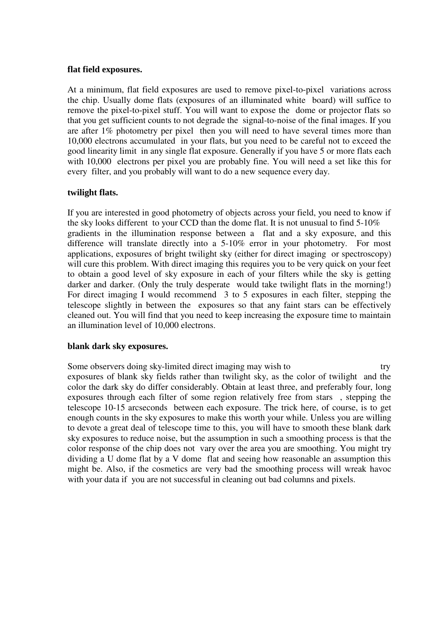#### **flat field exposures.**

At a minimum, flat field exposures are used to remove pixel-to-pixel variations across the chip. Usually dome flats (exposures of an illuminated white board) will suffice to remove the pixel-to-pixel stuff. You will want to expose the dome or projector flats so that you get sufficient counts to not degrade the signal-to-noise of the final images. If you are after 1% photometry per pixel then you will need to have several times more than 10,000 electrons accumulated in your flats, but you need to be careful not to exceed the good linearity limit in any single flat exposure. Generally if you have 5 or more flats each with 10,000 electrons per pixel you are probably fine. You will need a set like this for every filter, and you probably will want to do a new sequence every day.

### **twilight flats.**

If you are interested in good photometry of objects across your field, you need to know if the sky looks different to your CCD than the dome flat. It is not unusual to find 5-10% gradients in the illumination response between a flat and a sky exposure, and this difference will translate directly into a 5-10% error in your photometry. For most applications, exposures of bright twilight sky (either for direct imaging or spectroscopy) will cure this problem. With direct imaging this requires you to be very quick on your feet to obtain a good level of sky exposure in each of your filters while the sky is getting darker and darker. (Only the truly desperate would take twilight flats in the morning!) For direct imaging I would recommend 3 to 5 exposures in each filter, stepping the telescope slightly in between the exposures so that any faint stars can be effectively cleaned out. You will find that you need to keep increasing the exposure time to maintain an illumination level of 10,000 electrons.

### **blank dark sky exposures.**

Some observers doing sky-limited direct imaging may wish to try exposures of blank sky fields rather than twilight sky, as the color of twilight and the color the dark sky do differ considerably. Obtain at least three, and preferably four, long exposures through each filter of some region relatively free from stars , stepping the telescope 10-15 arcseconds between each exposure. The trick here, of course, is to get enough counts in the sky exposures to make this worth your while. Unless you are willing to devote a great deal of telescope time to this, you will have to smooth these blank dark sky exposures to reduce noise, but the assumption in such a smoothing process is that the color response of the chip does not vary over the area you are smoothing. You might try dividing a U dome flat by a V dome flat and seeing how reasonable an assumption this might be. Also, if the cosmetics are very bad the smoothing process will wreak havoc with your data if you are not successful in cleaning out bad columns and pixels.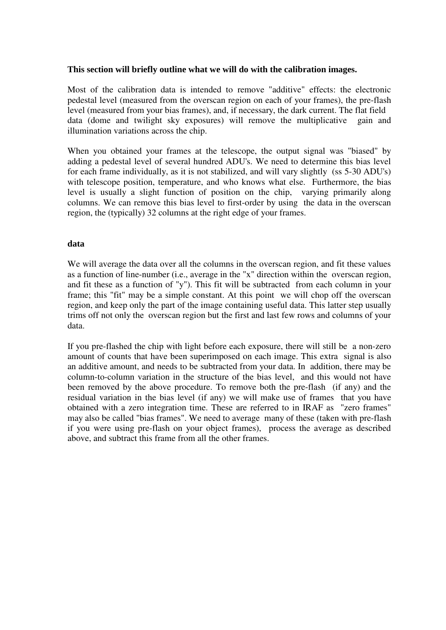#### **This section will briefly outline what we will do with the calibration images.**

Most of the calibration data is intended to remove "additive" effects: the electronic pedestal level (measured from the overscan region on each of your frames), the pre-flash level (measured from your bias frames), and, if necessary, the dark current. The flat field data (dome and twilight sky exposures) will remove the multiplicative gain and illumination variations across the chip.

When you obtained your frames at the telescope, the output signal was "biased" by adding a pedestal level of several hundred ADU's. We need to determine this bias level for each frame individually, as it is not stabilized, and will vary slightly (ss 5-30 ADU's) with telescope position, temperature, and who knows what else. Furthermore, the bias level is usually a slight function of position on the chip, varying primarily along columns. We can remove this bias level to first-order by using the data in the overscan region, the (typically) 32 columns at the right edge of your frames.

### **data**

We will average the data over all the columns in the overscan region, and fit these values as a function of line-number (i.e., average in the "x" direction within the overscan region, and fit these as a function of "y"). This fit will be subtracted from each column in your frame; this "fit" may be a simple constant. At this point we will chop off the overscan region, and keep only the part of the image containing useful data. This latter step usually trims off not only the overscan region but the first and last few rows and columns of your data.

If you pre-flashed the chip with light before each exposure, there will still be a non-zero amount of counts that have been superimposed on each image. This extra signal is also an additive amount, and needs to be subtracted from your data. In addition, there may be column-to-column variation in the structure of the bias level, and this would not have been removed by the above procedure. To remove both the pre-flash (if any) and the residual variation in the bias level (if any) we will make use of frames that you have obtained with a zero integration time. These are referred to in IRAF as "zero frames" may also be called "bias frames". We need to average many of these (taken with pre-flash if you were using pre-flash on your object frames), process the average as described above, and subtract this frame from all the other frames.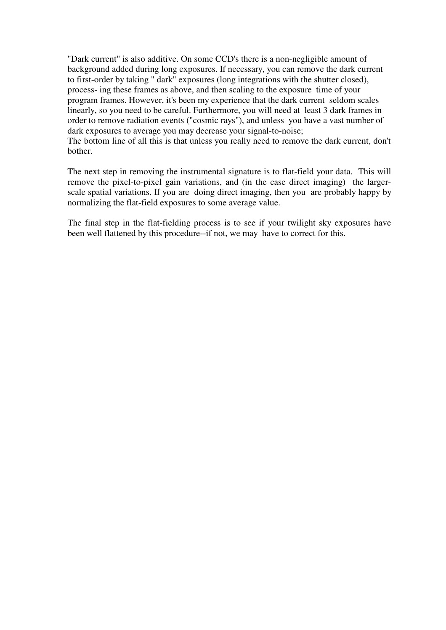"Dark current" is also additive. On some CCD's there is a non-negligible amount of background added during long exposures. If necessary, you can remove the dark current to first-order by taking " dark" exposures (long integrations with the shutter closed), process- ing these frames as above, and then scaling to the exposure time of your program frames. However, it's been my experience that the dark current seldom scales linearly, so you need to be careful. Furthermore, you will need at least 3 dark frames in order to remove radiation events ("cosmic rays"), and unless you have a vast number of dark exposures to average you may decrease your signal-to-noise; The bottom line of all this is that unless you really need to remove the dark current, don't bother.

The next step in removing the instrumental signature is to flat-field your data. This will remove the pixel-to-pixel gain variations, and (in the case direct imaging) the largerscale spatial variations. If you are doing direct imaging, then you are probably happy by normalizing the flat-field exposures to some average value.

The final step in the flat-fielding process is to see if your twilight sky exposures have been well flattened by this procedure--if not, we may have to correct for this.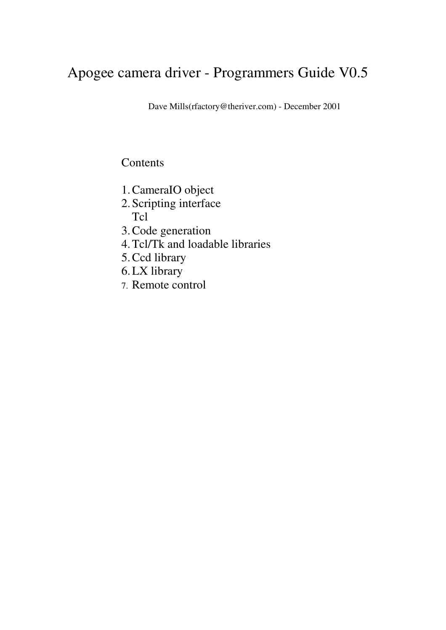# Apogee camera driver - Programmers Guide V0.5

Dave Mills(rfactory@theriver.com) - December 2001

# **Contents**

- 1.CameraIO object
- 2.Scripting interface Tcl
- 3.Code generation
- 4.Tcl/Tk and loadable libraries
- 5.Ccd library
- 6.LX library
- 7. Remote control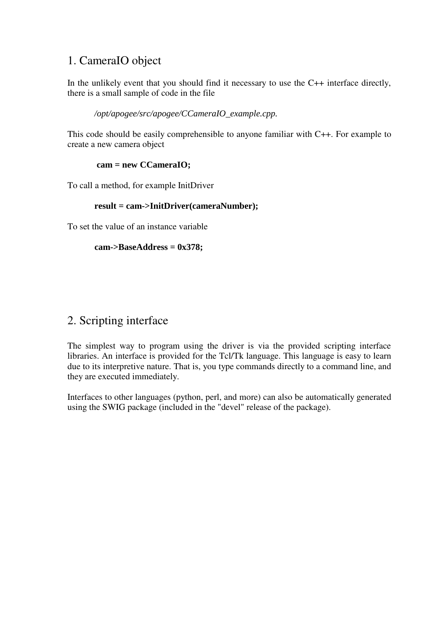# 1. CameraIO object

In the unlikely event that you should find it necessary to use the C++ interface directly, there is a small sample of code in the file

*/opt/apogee/src/apogee/CCameraIO\_example.cpp.*

This code should be easily comprehensible to anyone familiar with C++. For example to create a new camera object

### **cam = new CCameraIO;**

To call a method, for example InitDriver

### **result = cam->InitDriver(cameraNumber);**

To set the value of an instance variable

```
cam->BaseAddress = 0x378;
```
# 2. Scripting interface

The simplest way to program using the driver is via the provided scripting interface libraries. An interface is provided for the Tcl/Tk language. This language is easy to learn due to its interpretive nature. That is, you type commands directly to a command line, and they are executed immediately.

Interfaces to other languages (python, perl, and more) can also be automatically generated using the SWIG package (included in the "devel" release of the package).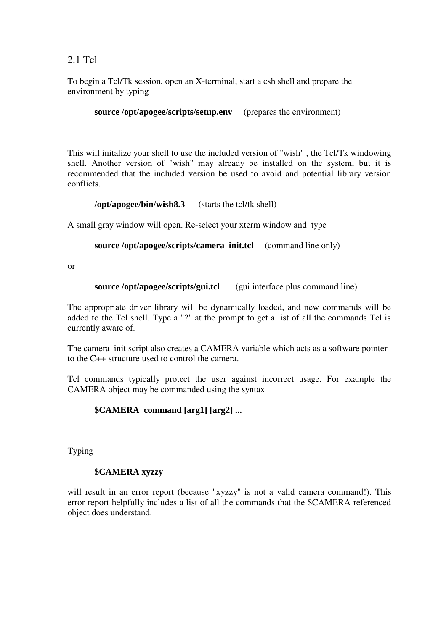### 2.1 Tcl

To begin a Tcl/Tk session, open an X-terminal, start a csh shell and prepare the environment by typing

**source** /**opt/apogee/scripts/setup.env** (prepares the environment)

This will initalize your shell to use the included version of "wish" , the Tcl/Tk windowing shell. Another version of "wish" may already be installed on the system, but it is recommended that the included version be used to avoid and potential library version conflicts.

**/opt/apogee/bin/wish8.3** (starts the tcl/tk shell)

A small gray window will open. Re-select your xterm window and type

**source** /**opt/apogee/scripts/camera init.tcl** (command line only)

or

**source** /**opt/apogee/scripts/gui.tcl** (gui interface plus command line)

The appropriate driver library will be dynamically loaded, and new commands will be added to the Tcl shell. Type a "?" at the prompt to get a list of all the commands Tcl is currently aware of.

The camera init script also creates a CAMERA variable which acts as a software pointer to the C++ structure used to control the camera.

Tcl commands typically protect the user against incorrect usage. For example the CAMERA object may be commanded using the syntax

### **\$CAMERA command [arg1] [arg2] ...**

Typing

### **\$CAMERA xyzzy**

will result in an error report (because "xyzzy" is not a valid camera command!). This error report helpfully includes a list of all the commands that the \$CAMERA referenced object does understand.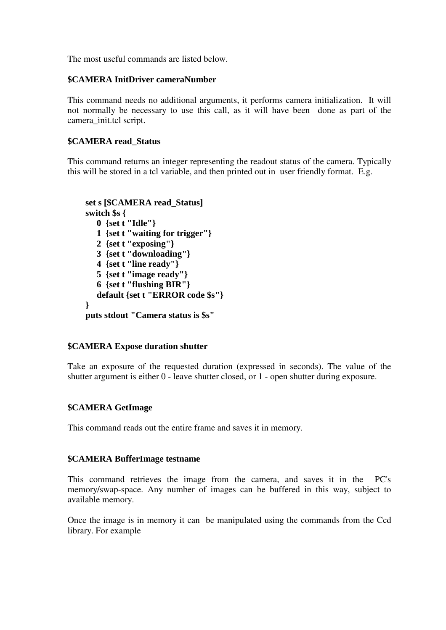The most useful commands are listed below.

### **\$CAMERA InitDriver cameraNumber**

This command needs no additional arguments, it performs camera initialization. It will not normally be necessary to use this call, as it will have been done as part of the camera\_init.tcl script.

### **\$CAMERA read\_Status**

This command returns an integer representing the readout status of the camera. Typically this will be stored in a tcl variable, and then printed out in user friendly format. E.g.

```
set s [$CAMERA read_Status]
switch $s {
  0 {set t "Idle"}
  1 {set t "waiting for trigger"}
   2 {set t "exposing"}
   3 {set t "downloading"}
  4 {set t "line ready"}
  5 {set t "image ready"}
  6 {set t "flushing BIR"}
  default {set t "ERROR code $s"}
}
puts stdout "Camera status is $s"
```
### **\$CAMERA Expose duration shutter**

Take an exposure of the requested duration (expressed in seconds). The value of the shutter argument is either 0 - leave shutter closed, or 1 - open shutter during exposure.

### **\$CAMERA GetImage**

This command reads out the entire frame and saves it in memory.

### **\$CAMERA BufferImage testname**

This command retrieves the image from the camera, and saves it in the PC's memory/swap-space. Any number of images can be buffered in this way, subject to available memory.

Once the image is in memory it can be manipulated using the commands from the Ccd library. For example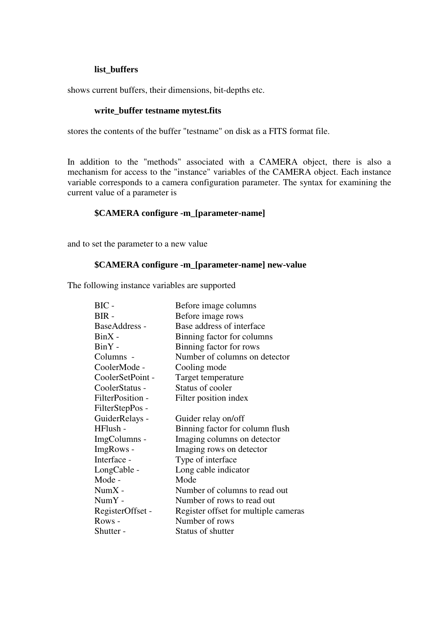#### **list\_buffers**

shows current buffers, their dimensions, bit-depths etc.

#### **write\_buffer testname mytest.fits**

stores the contents of the buffer "testname" on disk as a FITS format file.

In addition to the "methods" associated with a CAMERA object, there is also a mechanism for access to the "instance" variables of the CAMERA object. Each instance variable corresponds to a camera configuration parameter. The syntax for examining the current value of a parameter is

### **\$CAMERA configure -m\_[parameter-name]**

and to set the parameter to a new value

#### **\$CAMERA configure -m\_[parameter-name] new-value**

The following instance variables are supported

| $BIC -$          | Before image columns                 |
|------------------|--------------------------------------|
| BIR-             | Before image rows                    |
| BaseAddress -    | Base address of interface            |
| $BinX -$         | Binning factor for columns           |
| $BinY -$         | Binning factor for rows              |
| Columns -        | Number of columns on detector        |
| CoolerMode -     | Cooling mode                         |
| CoolerSetPoint - | Target temperature                   |
| CoolerStatus -   | Status of cooler                     |
| FilterPosition - | Filter position index                |
| FilterStepPos -  |                                      |
| GuiderRelays -   | Guider relay on/off                  |
| HFlush -         | Binning factor for column flush      |
| ImgColumns -     | Imaging columns on detector          |
| ImgRows -        | Imaging rows on detector             |
| Interface -      | Type of interface                    |
| LongCable -      | Long cable indicator                 |
| Mode -           | Mode                                 |
| $NumX -$         | Number of columns to read out        |
| $NumY -$         | Number of rows to read out           |
| RegisterOffset - | Register offset for multiple cameras |
| Rows -           | Number of rows                       |
| Shutter -        | Status of shutter                    |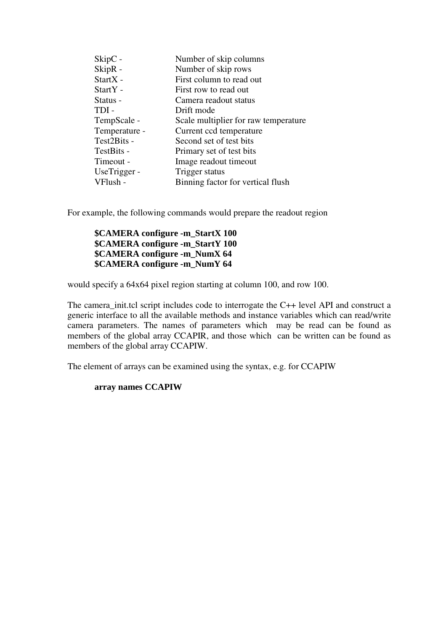| SkipC -       | Number of skip columns               |
|---------------|--------------------------------------|
| SkipR -       | Number of skip rows                  |
| StartX -      | First column to read out             |
| StartY -      | First row to read out                |
| Status -      | Camera readout status                |
| TDI-          | Drift mode                           |
| TempScale -   | Scale multiplier for raw temperature |
| Temperature - | Current ccd temperature              |
| Test2Bits -   | Second set of test bits              |
| TestBits -    | Primary set of test bits             |
| Timeout -     | Image readout timeout                |
| UseTrigger -  | Trigger status                       |
| VFlush -      | Binning factor for vertical flush    |

For example, the following commands would prepare the readout region

### **\$CAMERA configure -m\_StartX 100 \$CAMERA configure -m\_StartY 100 \$CAMERA configure -m\_NumX 64 \$CAMERA configure -m\_NumY 64**

would specify a 64x64 pixel region starting at column 100, and row 100.

The camera\_init.tcl script includes code to interrogate the C++ level API and construct a generic interface to all the available methods and instance variables which can read/write camera parameters. The names of parameters which may be read can be found as members of the global array CCAPIR, and those which can be written can be found as members of the global array CCAPIW.

The element of arrays can be examined using the syntax, e.g. for CCAPIW

#### **array names CCAPIW**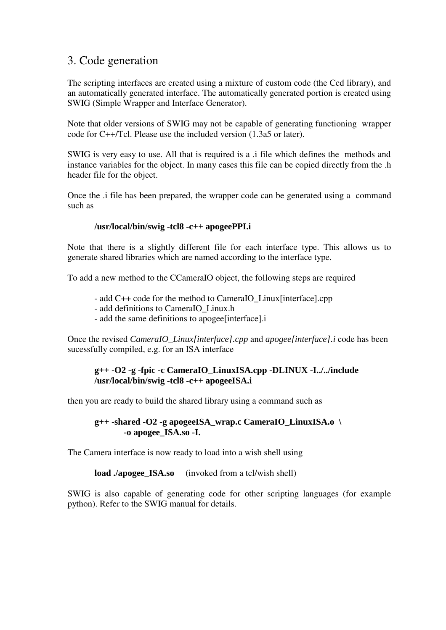## 3. Code generation

The scripting interfaces are created using a mixture of custom code (the Ccd library), and an automatically generated interface. The automatically generated portion is created using SWIG (Simple Wrapper and Interface Generator).

Note that older versions of SWIG may not be capable of generating functioning wrapper code for C++/Tcl. Please use the included version (1.3a5 or later).

SWIG is very easy to use. All that is required is a .i file which defines the methods and instance variables for the object. In many cases this file can be copied directly from the .h header file for the object.

Once the .i file has been prepared, the wrapper code can be generated using a command such as

### **/usr/local/bin/swig -tcl8 -c++ apogeePPI.i**

Note that there is a slightly different file for each interface type. This allows us to generate shared libraries which are named according to the interface type.

To add a new method to the CCameraIO object, the following steps are required

- add C++ code for the method to CameraIO\_Linux[interface].cpp
- add definitions to CameraIO\_Linux.h
- add the same definitions to apogee[interface].i

Once the revised *CameraIO\_Linux[interface].cpp* and *apogee[interface].i* code has been sucessfully compiled, e.g. for an ISA interface

### **g++ -O2 -g -fpic -c CameraIO\_LinuxISA.cpp -DLINUX -I../../include /usr/local/bin/swig -tcl8 -c++ apogeeISA.i**

then you are ready to build the shared library using a command such as

### **g++ -shared -O2 -g apogeeISA\_wrap.c CameraIO\_LinuxISA.o \ -o apogee\_ISA.so -I.**

The Camera interface is now ready to load into a wish shell using

**load ./apogee** ISA.so (invoked from a tcl/wish shell)

SWIG is also capable of generating code for other scripting languages (for example python). Refer to the SWIG manual for details.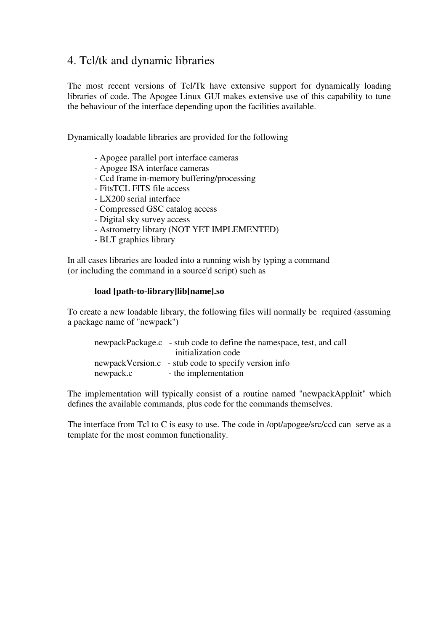# 4. Tcl/tk and dynamic libraries

The most recent versions of Tcl/Tk have extensive support for dynamically loading libraries of code. The Apogee Linux GUI makes extensive use of this capability to tune the behaviour of the interface depending upon the facilities available.

Dynamically loadable libraries are provided for the following

- Apogee parallel port interface cameras
- Apogee ISA interface cameras
- Ccd frame in-memory buffering/processing
- FitsTCL FITS file access
- LX200 serial interface
- Compressed GSC catalog access
- Digital sky survey access
- Astrometry library (NOT YET IMPLEMENTED)
- BLT graphics library

In all cases libraries are loaded into a running wish by typing a command (or including the command in a source'd script) such as

### **load [path-to-library]lib[name].so**

To create a new loadable library, the following files will normally be required (assuming a package name of "newpack")

|           | newpackPackage.c - stub code to define the namespace, test, and call |
|-----------|----------------------------------------------------------------------|
|           | initialization code                                                  |
|           | newpackVersion.c - stub code to specify version info                 |
| newpack.c | - the implementation                                                 |

The implementation will typically consist of a routine named "newpackAppInit" which defines the available commands, plus code for the commands themselves.

The interface from Tcl to C is easy to use. The code in /opt/apogee/src/ccd can serve as a template for the most common functionality.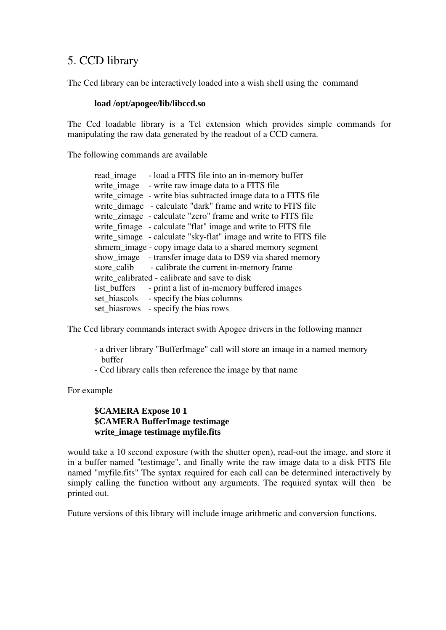# 5. CCD library

The Ccd library can be interactively loaded into a wish shell using the command

### **load /opt/apogee/lib/libccd.so**

The Ccd loadable library is a Tcl extension which provides simple commands for manipulating the raw data generated by the readout of a CCD camera.

The following commands are available

|                                                          | read_image - load a FITS file into an in-memory buffer           |  |
|----------------------------------------------------------|------------------------------------------------------------------|--|
|                                                          | write_image - write raw image data to a FITS file                |  |
|                                                          | write_cimage - write bias subtracted image data to a FITS file   |  |
|                                                          | write_dimage - calculate "dark" frame and write to FITS file     |  |
|                                                          | write_zimage - calculate "zero" frame and write to FITS file     |  |
|                                                          | write_fimage - calculate "flat" image and write to FITS file     |  |
|                                                          | write_simage - calculate "sky-flat" image and write to FITS file |  |
| shmem_image - copy image data to a shared memory segment |                                                                  |  |
|                                                          | show_image - transfer image data to DS9 via shared memory        |  |
|                                                          | store_calib - calibrate the current in-memory frame              |  |
| write calibrated - calibrate and save to disk            |                                                                  |  |
| list_buffers                                             | - print a list of in-memory buffered images                      |  |
| set biascols                                             | - specify the bias columns                                       |  |
|                                                          | set_biasrows - specify the bias rows                             |  |

The Ccd library commands interact swith Apogee drivers in the following manner

- a driver library "BufferImage" call will store an imaqe in a named memory buffer
- Ccd library calls then reference the image by that name

For example

### **\$CAMERA Expose 10 1 \$CAMERA BufferImage testimage write\_image testimage myfile.fits**

would take a 10 second exposure (with the shutter open), read-out the image, and store it in a buffer named "testimage", and finally write the raw image data to a disk FITS file named "myfile.fits" The syntax required for each call can be determined interactively by simply calling the function without any arguments. The required syntax will then be printed out.

Future versions of this library will include image arithmetic and conversion functions.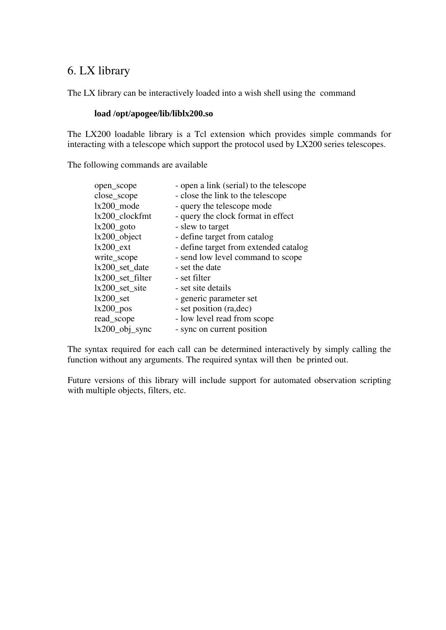# 6. LX library

The LX library can be interactively loaded into a wish shell using the command

### **load /opt/apogee/lib/liblx200.so**

The LX200 loadable library is a Tcl extension which provides simple commands for interacting with a telescope which support the protocol used by LX200 series telescopes.

The following commands are available

| open_scope          | - open a link (serial) to the telescope |
|---------------------|-----------------------------------------|
| close_scope         | - close the link to the telescope       |
| $lx200$ _mode       | - query the telescope mode              |
| $lx200$ _clockfmt   | - query the clock format in effect      |
| $lx200\_goto$       | - slew to target                        |
| $lx200$ _object     | - define target from catalog            |
| $lx200$ ext         | - define target from extended catalog   |
| write_scope         | - send low level command to scope       |
| lx200_set_date      | - set the date                          |
| $lx200$ _set_filter | - set filter                            |
| $lx200$ _set_site   | - set site details                      |
| $lx200$ set         | - generic parameter set                 |
| $lx200$ pos         | - set position (ra, dec)                |
| read_scope          | - low level read from scope             |
| $lx200$ _obj_sync   | - sync on current position              |

The syntax required for each call can be determined interactively by simply calling the function without any arguments. The required syntax will then be printed out.

Future versions of this library will include support for automated observation scripting with multiple objects, filters, etc.